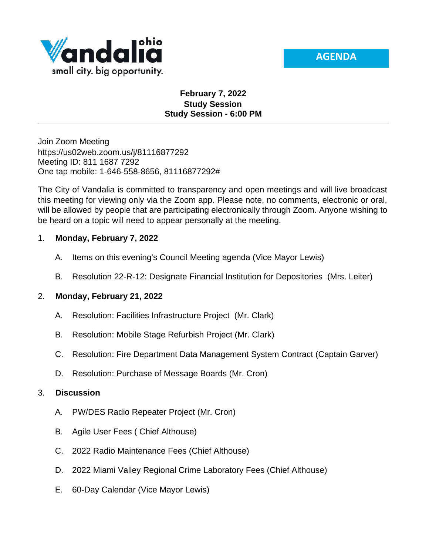



# **February 7, 2022 Study Session Study Session - 6:00 PM**

Join Zoom Meeting https://us02web.zoom.us/j/81116877292 Meeting ID: 811 1687 7292 One tap mobile: 1-646-558-8656, 81116877292#

The City of Vandalia is committed to transparency and open meetings and will live broadcast this meeting for viewing only via the Zoom app. Please note, no comments, electronic or oral, will be allowed by people that are participating electronically through Zoom. Anyone wishing to be heard on a topic will need to appear personally at the meeting.

## 1. **Monday, February 7, 2022**

- A. Items on this evening's Council Meeting agenda (Vice Mayor Lewis)
- B. Resolution 22-R-12: Designate Financial Institution for Depositories (Mrs. Leiter)

## 2. **Monday, February 21, 2022**

- A. Resolution: Facilities Infrastructure Project (Mr. Clark)
- B. Resolution: Mobile Stage Refurbish Project (Mr. Clark)
- C. Resolution: Fire Department Data Management System Contract (Captain Garver)
- D. Resolution: Purchase of Message Boards (Mr. Cron)

## 3. **Discussion**

- A. PW/DES Radio Repeater Project (Mr. Cron)
- B. Agile User Fees ( Chief Althouse)
- C. 2022 Radio Maintenance Fees (Chief Althouse)
- D. 2022 Miami Valley Regional Crime Laboratory Fees (Chief Althouse)
- E. 60-Day Calendar (Vice Mayor Lewis)